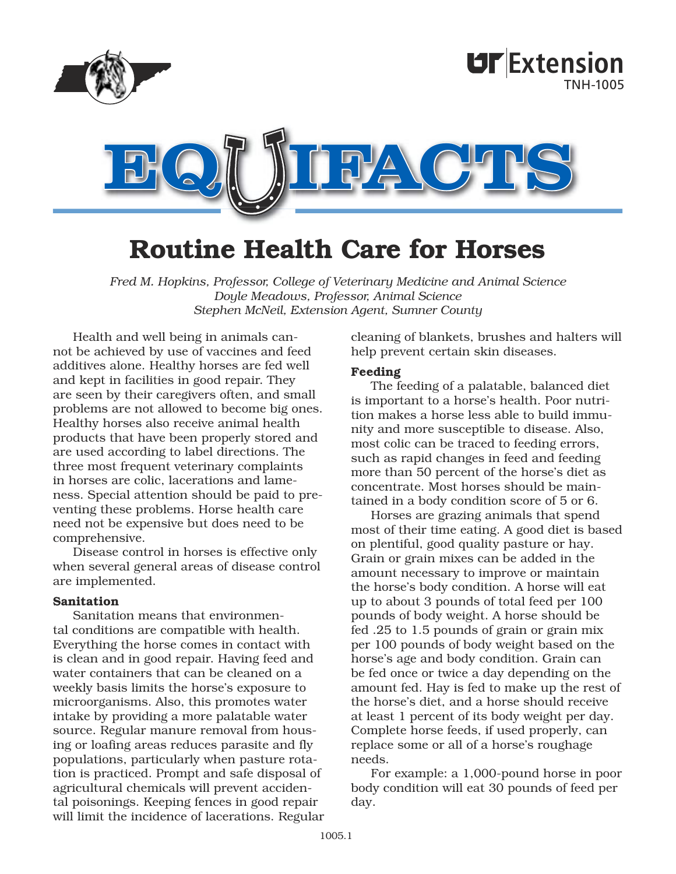

# Routine Health Care for Horses

*Fred M. Hopkins, Professor, College of Veterinary Medicine and Animal Science Doyle Meadows, Professor, Animal Science Stephen McNeil, Extension Agent, Sumner County*

Health and well being in animals cannot be achieved by use of vaccines and feed additives alone. Healthy horses are fed well and kept in facilities in good repair. They are seen by their caregivers often, and small problems are not allowed to become big ones. Healthy horses also receive animal health products that have been properly stored and are used according to label directions. The three most frequent veterinary complaints in horses are colic, lacerations and lameness. Special attention should be paid to preventing these problems. Horse health care need not be expensive but does need to be comprehensive.

Disease control in horses is effective only when several general areas of disease control are implemented.

#### Sanitation

Sanitation means that environmental conditions are compatible with health. Everything the horse comes in contact with is clean and in good repair. Having feed and water containers that can be cleaned on a weekly basis limits the horse's exposure to microorganisms. Also, this promotes water intake by providing a more palatable water source. Regular manure removal from housing or loafing areas reduces parasite and fly populations, particularly when pasture rotation is practiced. Prompt and safe disposal of agricultural chemicals will prevent accidental poisonings. Keeping fences in good repair will limit the incidence of lacerations. Regular cleaning of blankets, brushes and halters will help prevent certain skin diseases.

#### Feeding

The feeding of a palatable, balanced diet is important to a horse's health. Poor nutrition makes a horse less able to build immunity and more susceptible to disease. Also, most colic can be traced to feeding errors, such as rapid changes in feed and feeding more than 50 percent of the horse's diet as concentrate. Most horses should be maintained in a body condition score of 5 or 6.

Horses are grazing animals that spend most of their time eating. A good diet is based on plentiful, good quality pasture or hay. Grain or grain mixes can be added in the amount necessary to improve or maintain the horse's body condition. A horse will eat up to about 3 pounds of total feed per 100 pounds of body weight. A horse should be fed .25 to 1.5 pounds of grain or grain mix per 100 pounds of body weight based on the horse's age and body condition. Grain can be fed once or twice a day depending on the amount fed. Hay is fed to make up the rest of the horse's diet, and a horse should receive at least 1 percent of its body weight per day. Complete horse feeds, if used properly, can replace some or all of a horse's roughage needs.

For example: a 1,000-pound horse in poor body condition will eat 30 pounds of feed per day.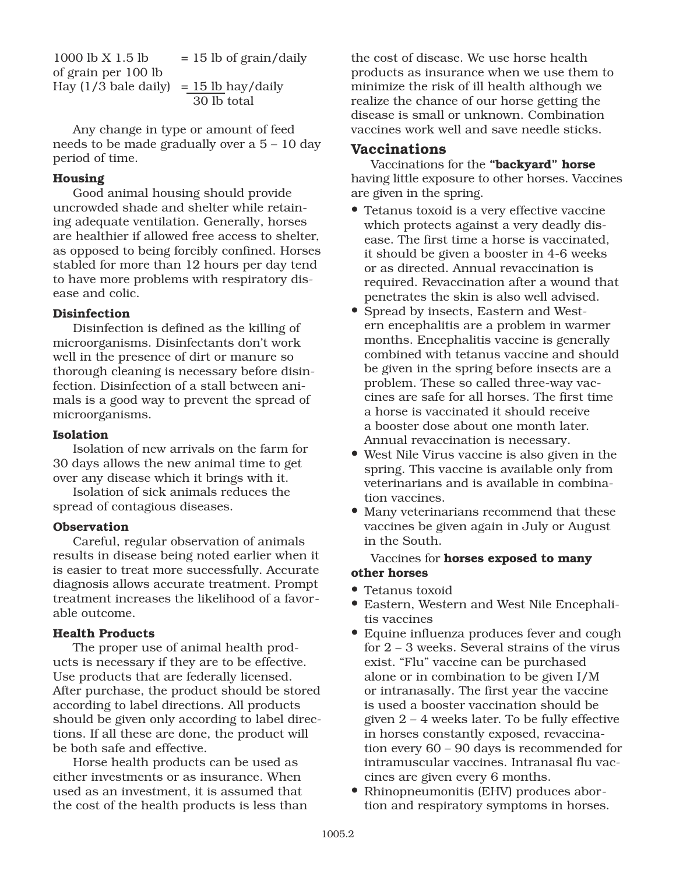1000 lb X 1.5 lb  $= 15$  lb of grain/daily of grain per 100 lb Hay  $(1/3$  bale daily) = 15 lb hay/daily 30 lb total

Any change in type or amount of feed needs to be made gradually over a 5 – 10 day period of time.

# Housing

Good animal housing should provide uncrowded shade and shelter while retaining adequate ventilation. Generally, horses are healthier if allowed free access to shelter, as opposed to being forcibly confined. Horses stabled for more than 12 hours per day tend to have more problems with respiratory disease and colic.

### Disinfection

Disinfection is defined as the killing of microorganisms. Disinfectants don't work well in the presence of dirt or manure so thorough cleaning is necessary before disinfection. Disinfection of a stall between animals is a good way to prevent the spread of microorganisms.

## Isolation

Isolation of new arrivals on the farm for 30 days allows the new animal time to get over any disease which it brings with it.

Isolation of sick animals reduces the spread of contagious diseases.

# **Observation**

Careful, regular observation of animals results in disease being noted earlier when it is easier to treat more successfully. Accurate diagnosis allows accurate treatment. Prompt treatment increases the likelihood of a favorable outcome.

### Health Products

The proper use of animal health products is necessary if they are to be effective. Use products that are federally licensed. After purchase, the product should be stored according to label directions. All products should be given only according to label directions. If all these are done, the product will be both safe and effective.

Horse health products can be used as either investments or as insurance. When used as an investment, it is assumed that the cost of the health products is less than the cost of disease. We use horse health products as insurance when we use them to minimize the risk of ill health although we realize the chance of our horse getting the disease is small or unknown. Combination vaccines work well and save needle sticks.

# Vaccinations

Vaccinations for the "backyard" horse having little exposure to other horses. Vaccines are given in the spring.

- Tetanus toxoid is a very effective vaccine which protects against a very deadly disease. The first time a horse is vaccinated, it should be given a booster in 4-6 weeks or as directed. Annual revaccination is required. Revaccination after a wound that penetrates the skin is also well advised.
- Spread by insects, Eastern and Western encephalitis are a problem in warmer months. Encephalitis vaccine is generally combined with tetanus vaccine and should be given in the spring before insects are a problem. These so called three-way vaccines are safe for all horses. The first time a horse is vaccinated it should receive a booster dose about one month later. Annual revaccination is necessary.
- West Nile Virus vaccine is also given in the spring. This vaccine is available only from veterinarians and is available in combination vaccines.
- Many veterinarians recommend that these vaccines be given again in July or August in the South.

# Vaccines for horses exposed to many other horses

- Tetanus toxoid
- Eastern, Western and West Nile Encephalitis vaccines
- Equine influenza produces fever and cough for 2 – 3 weeks. Several strains of the virus exist. "Flu" vaccine can be purchased alone or in combination to be given I/M or intranasally. The first year the vaccine is used a booster vaccination should be given 2 – 4 weeks later. To be fully effective in horses constantly exposed, revaccination every 60 – 90 days is recommended for intramuscular vaccines. Intranasal flu vaccines are given every 6 months.
- Rhinopneumonitis (EHV) produces abortion and respiratory symptoms in horses.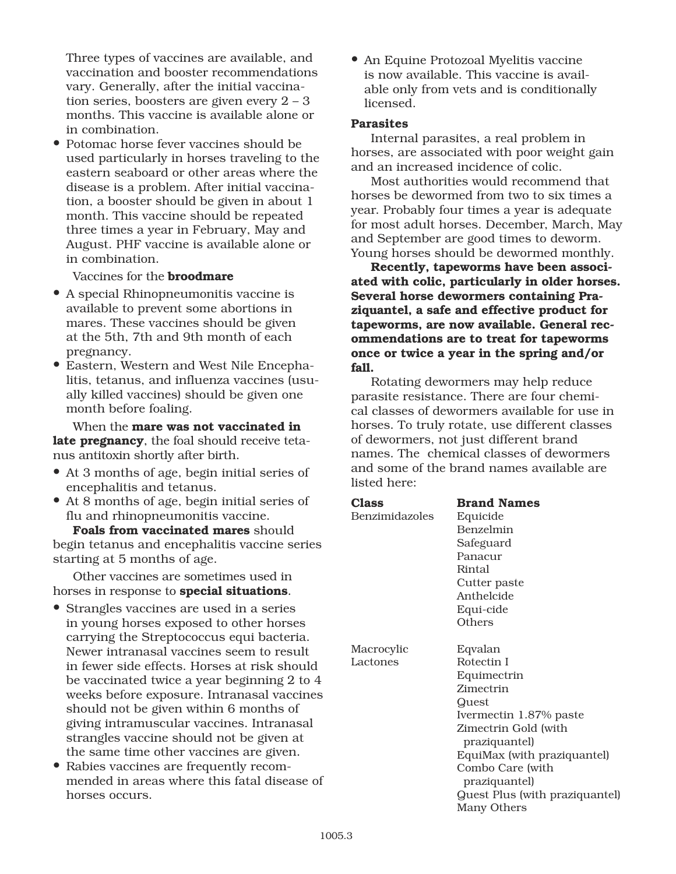Three types of vaccines are available, and vaccination and booster recommendations vary. Generally, after the initial vaccination series, boosters are given every 2 – 3 months. This vaccine is available alone or in combination.

• Potomac horse fever vaccines should be used particularly in horses traveling to the eastern seaboard or other areas where the disease is a problem. After initial vaccination, a booster should be given in about 1 month. This vaccine should be repeated three times a year in February, May and August. PHF vaccine is available alone or in combination.

Vaccines for the broodmare

- A special Rhinopneumonitis vaccine is available to prevent some abortions in mares. These vaccines should be given at the 5th, 7th and 9th month of each pregnancy.
- Eastern, Western and West Nile Encephalitis, tetanus, and influenza vaccines (usually killed vaccines) should be given one month before foaling.

When the **mare was not vaccinated in** late pregnancy, the foal should receive tetanus antitoxin shortly after birth.

- At 3 months of age, begin initial series of encephalitis and tetanus.
- At 8 months of age, begin initial series of flu and rhinopneumonitis vaccine.

Foals from vaccinated mares should begin tetanus and encephalitis vaccine series starting at 5 months of age.

Other vaccines are sometimes used in horses in response to **special situations**.

- Strangles vaccines are used in a series in young horses exposed to other horses carrying the Streptococcus equi bacteria. Newer intranasal vaccines seem to result in fewer side effects. Horses at risk should be vaccinated twice a year beginning 2 to 4 weeks before exposure. Intranasal vaccines should not be given within 6 months of giving intramuscular vaccines. Intranasal strangles vaccine should not be given at the same time other vaccines are given.
- Rabies vaccines are frequently recommended in areas where this fatal disease of horses occurs.

• An Equine Protozoal Myelitis vaccine is now available. This vaccine is available only from vets and is conditionally licensed.

#### Parasites

Internal parasites, a real problem in horses, are associated with poor weight gain and an increased incidence of colic.

Most authorities would recommend that horses be dewormed from two to six times a year. Probably four times a year is adequate for most adult horses. December, March, May and September are good times to deworm. Young horses should be dewormed monthly.

Recently, tapeworms have been associated with colic, particularly in older horses. Several horse dewormers containing Praziquantel, a safe and effective product for tapeworms, are now available. General recommendations are to treat for tapeworms once or twice a year in the spring and/or fall.

Rotating dewormers may help reduce parasite resistance. There are four chemical classes of dewormers available for use in horses. To truly rotate, use different classes of dewormers, not just different brand names. The chemical classes of dewormers and some of the brand names available are listed here:

| Class          | <b>Brand Names</b>             |
|----------------|--------------------------------|
| Benzimidazoles | Equicide                       |
|                | <b>Benzelmin</b>               |
|                | Safeguard                      |
|                | Panacur                        |
|                | Rintal                         |
|                | Cutter paste                   |
|                | Anthelcide                     |
|                | Equi-cide                      |
|                | Others                         |
|                |                                |
| Macrocylic     | Eqvalan                        |
| Lactones       | Rotectin I                     |
|                | Equimectrin                    |
|                | Zimectrin                      |
|                | Quest                          |
|                | Ivermectin 1.87% paste         |
|                | Zimectrin Gold (with           |
|                | praziquantel)                  |
|                | EquiMax (with praziquantel)    |
|                | Combo Care (with               |
|                | praziquantel)                  |
|                | Quest Plus (with praziquantel) |
|                | Many Others                    |